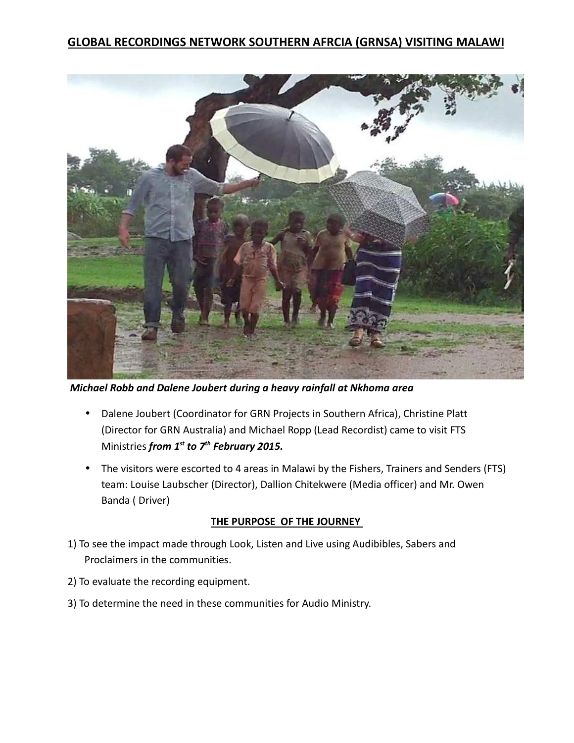

 *Michael Robb and Dalene Joubert during a heavy rainfall at Nkhoma area*

- Dalene Joubert (Coordinator for GRN Projects in Southern Africa), Christine Platt (Director for GRN Australia) and Michael Ropp (Lead Recordist) came to visit FTS Ministries *from 1st to 7th February 2015.*
- The visitors were escorted to 4 areas in Malawi by the Fishers, Trainers and Senders (FTS) team: Louise Laubscher (Director), Dallion Chitekwere (Media officer) and Mr. Owen Banda ( Driver)

### **THE PURPOSE OF THE JOURNEY**

- 1) To see the impact made through Look, Listen and Live using Audibibles, Sabers and Proclaimers in the communities.
- 2) To evaluate the recording equipment.
- 3) To determine the need in these communities for Audio Ministry.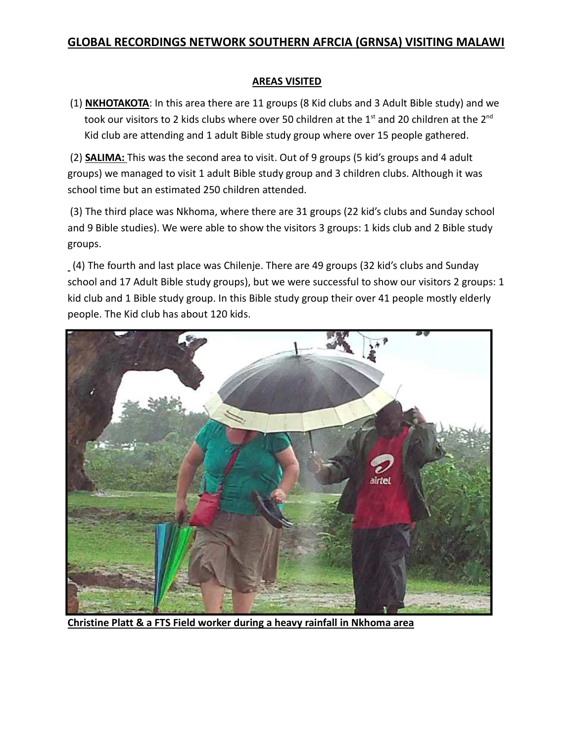### **AREAS VISITED**

 (1) **NKHOTAKOTA**: In this area there are 11 groups (8 Kid clubs and 3 Adult Bible study) and we took our visitors to 2 kids clubs where over 50 children at the  $1<sup>st</sup>$  and 20 children at the  $2<sup>nd</sup>$ Kid club are attending and 1 adult Bible study group where over 15 people gathered.

 (2) **SALIMA:** This was the second area to visit. Out of 9 groups (5 kid's groups and 4 adult groups) we managed to visit 1 adult Bible study group and 3 children clubs. Although it was school time but an estimated 250 children attended.

 (3) The third place was Nkhoma, where there are 31 groups (22 kid's clubs and Sunday school and 9 Bible studies). We were able to show the visitors 3 groups: 1 kids club and 2 Bible study groups.

 (4) The fourth and last place was Chilenje. There are 49 groups (32 kid's clubs and Sunday school and 17 Adult Bible study groups), but we were successful to show our visitors 2 groups: 1 kid club and 1 Bible study group. In this Bible study group their over 41 people mostly elderly people. The Kid club has about 120 kids.



**Christine Platt & a FTS Field worker during a heavy rainfall in Nkhoma area**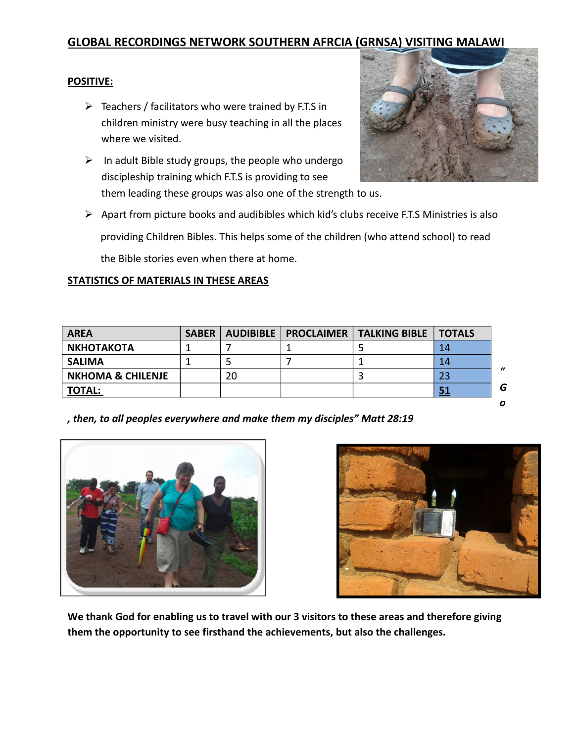#### **POSITIVE:**

- $\triangleright$  Teachers / facilitators who were trained by F.T.S in children ministry were busy teaching in all the places where we visited.
- $\triangleright$  In adult Bible study groups, the people who undergo discipleship training which F.T.S is providing to see them leading these groups was also one of the strength to us.



 Apart from picture books and audibibles which kid's clubs receive F.T.S Ministries is also providing Children Bibles. This helps some of the children (who attend school) to read the Bible stories even when there at home.

#### **STATISTICS OF MATERIALS IN THESE AREAS**

| <b>AREA</b>                  | <b>SABER</b> |    | AUDIBIBLE   PROCLAIMER   TALKING BIBLE   TOTALS |           |               |
|------------------------------|--------------|----|-------------------------------------------------|-----------|---------------|
| <b>NKHOTAKOTA</b>            |              |    |                                                 | 14        |               |
| <b>SALIMA</b>                |              |    |                                                 | 14        | $\frac{1}{2}$ |
| <b>NKHOMA &amp; CHILENJE</b> |              | 20 |                                                 | 23        |               |
| <b>TOTAL:</b>                |              |    |                                                 | <u>51</u> | G             |

*, then, to all peoples everywhere and make them my disciples" Matt 28:19* 





**We thank God for enabling us to travel with our 3 visitors to these areas and therefore giving them the opportunity to see firsthand the achievements, but also the challenges.** 

*o*